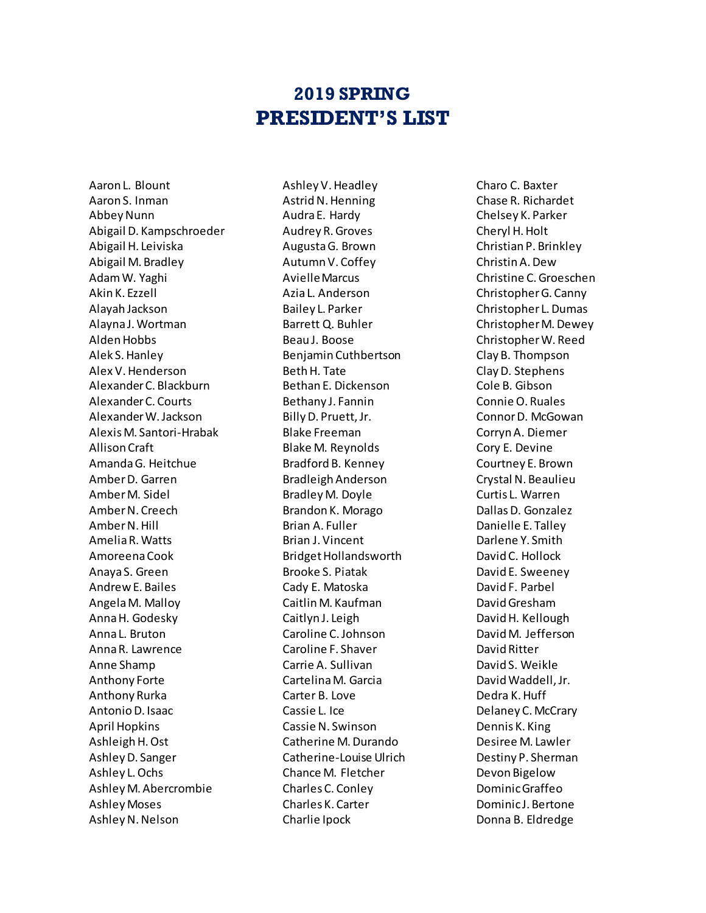## **2019 SPRING PRESIDENT'S LIST**

Aaron L. Blount Aaron S. Inman Abbey Nunn Abigail D. Kampschroeder Abigail H. Leiviska Abigail M. Bradley Adam W. Yaghi Akin K. Ezzell Alayah Jackson Alayna J. Wortman Alden Hobbs Alek S. Hanley Alex V. Henderson Alexander C. Blackburn Alexander C. Courts Alexander W. Jackson Alexis M. Santori-Hrabak Allison Craft Amanda G. Heitchue Amber D. Garren Amber M. Sidel Amber N. Creech Amber N. Hill Amelia R. Watts Amoreena Cook Anaya S. Green Andrew E. Bailes Angela M. Malloy Anna H. Godesky Anna L. Bruton Anna R. Lawrence Anne Shamp Anthony Forte Anthony Rurka Antonio D. Isaac April Hopkins Ashleigh H. Ost Ashley D. Sanger Ashley L. Ochs Ashley M. Abercrombie Ashley Moses Ashley N. Nelson

Ashley V. Headley Astrid N. Henning Audra E. Hardy Audrey R. Groves Augusta G. Brown Autumn V. Coffey Avielle Marcus Azia L. Anderson Bailey L. Parker Barrett Q. Buhler Beau J. Boose Benjamin Cuthbertson Beth H. Tate Bethan E. Dickenson Bethany J. Fannin Billy D. Pruett, Jr. Blake Freeman Blake M. Reynolds Bradford B. Kenney Bradleigh Anderson Bradley M. Doyle Brandon K. Morago Brian A. Fuller Brian J. Vincent Bridget Hollandsworth Brooke S. Piatak Cady E. Matoska Caitlin M. Kaufman Caitlyn J. Leigh Caroline C. Johnson Caroline F. Shaver Carrie A. Sullivan Cartelina M. Garcia Carter B. Love Cassie L. Ice Cassie N. Swinson Catherine M. Durando Catherine-Louise Ulrich Chance M. Fletcher Charles C. Conley Charles K. Carter Charlie Ipock

Charo C. Baxter Chase R. Richardet Chelsey K. Parker Cheryl H. Holt Christian P. Brinkley Christin A. Dew Christine C. Groeschen Christopher G. Canny Christopher L. Dumas Christopher M. Dewey Christopher W. Reed Clay B. Thompson Clay D. Stephens Cole B. Gibson Connie O. Ruales Connor D. McGowan CorrynA. Diemer Cory E. Devine Courtney E. Brown Crystal N. Beaulieu Curtis L. Warren Dallas D. Gonzalez Danielle E. Talley Darlene Y. Smith David C. Hollock David E. Sweeney David F. Parbel David Gresham David H. Kellough David M. Jefferson David Ritter David S. Weikle David Waddell, Jr. Dedra K. Huff Delaney C. McCrary Dennis K. King Desiree M. Lawler Destiny P. Sherman Devon Bigelow Dominic Graffeo Dominic J. Bertone Donna B. Eldredge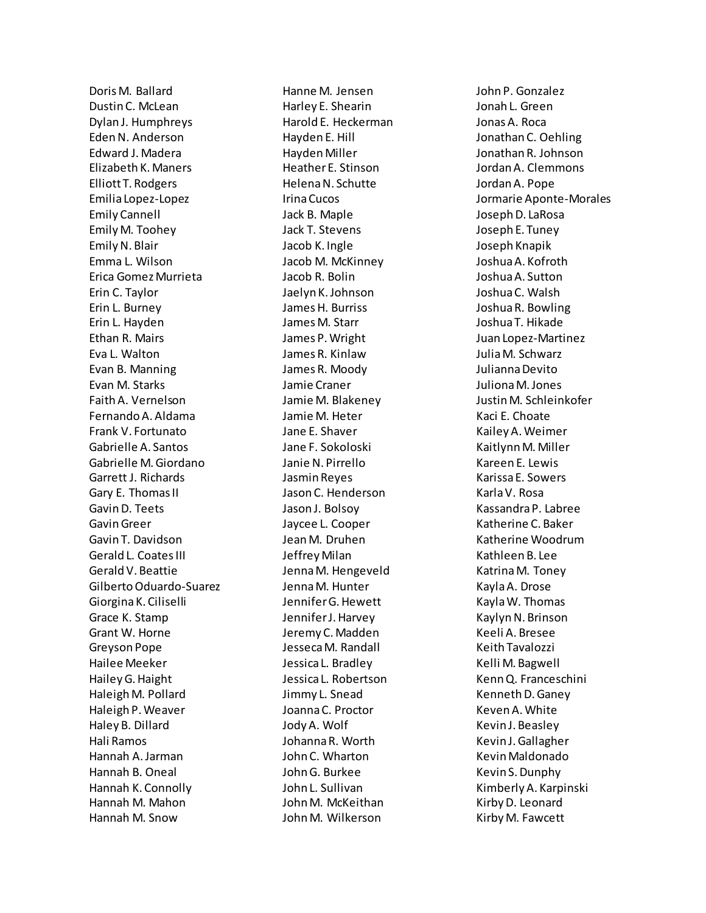Doris M. Ballard Dustin C. McLean Dylan J. Humphreys Eden N. Anderson Edward J. Madera Elizabeth K. Maners Elliott T. Rodgers Emilia Lopez-Lopez Emily Cannell Emily M. Toohey Emily N. Blair Emma L. Wilson Erica Gomez Murrieta Erin C. Taylor Erin L. Burney Erin L. Hayden Ethan R. Mairs Eva L. Walton Evan B. Manning Evan M. Starks Faith A. Vernelson Fernando A. Aldama Frank V. Fortunato Gabrielle A. Santos Gabrielle M. Giordano Garrett J. Richards Gary E. Thomas II Gavin D. Teets Gavin Greer Gavin T. Davidson Gerald L. Coates III Gerald V. Beattie Gilberto Oduardo-Suarez Giorgina K. Ciliselli Grace K. Stamp Grant W. Horne Greyson Pope Hailee Meeker Hailey G. Haight Haleigh M. Pollard Haleigh P. Weaver Haley B. Dillard Hali Ramos Hannah A. Jarman Hannah B. Oneal Hannah K. Connolly Hannah M. Mahon Hannah M. Snow

Hanne M. Jensen Harley E. Shearin Harold E. Heckerman Hayden E. Hill Hayden Miller Heather E. Stinson Helena N. Schutte Irina Cucos Jack B. Maple Jack T. Stevens Jacob K. Ingle Jacob M. McKinney Jacob R. Bolin Jaelyn K. Johnson James H. Burriss James M. Starr James P.Wright James R. Kinlaw James R. Moody Jamie Craner Jamie M. Blakeney Jamie M. Heter Jane E. Shaver Jane F. Sokoloski Janie N. Pirrello Jasmin Reyes Jason C. Henderson Jason J. Bolsoy Jaycee L. Cooper Jean M. Druhen Jeffrey Milan Jenna M. Hengeveld Jenna M. Hunter Jennifer G. Hewett Jennifer J. Harvey Jeremy C. Madden Jesseca M. Randall Jessica L. Bradley Jessica L. Robertson Jimmy L. Snead Joanna C. Proctor Jody A. Wolf Johanna R. Worth John C. Wharton John G. Burkee John L. Sullivan John M. McKeithan JohnM. Wilkerson

John P. Gonzalez Jonah L. Green Jonas A. Roca Jonathan C. Oehling Jonathan R. Johnson Jordan A. Clemmons Jordan A. Pope Jormarie Aponte-Morales Joseph D. LaRosa Joseph E. Tuney Joseph Knapik Joshua A. Kofroth Joshua A. Sutton Joshua C. Walsh Joshua R. Bowling Joshua T. Hikade Juan Lopez-Martinez Julia M. Schwarz Julianna Devito Juliona M. Jones Justin M. Schleinkofer Kaci E. Choate Kailey A. Weimer Kaitlynn M. Miller Kareen E. Lewis Karissa E. Sowers Karla V. Rosa Kassandra P. Labree Katherine C. Baker Katherine Woodrum Kathleen B. Lee Katrina M. Toney Kayla A. Drose Kayla W. Thomas Kaylyn N. Brinson Keeli A. Bresee Keith Tavalozzi Kelli M. Bagwell Kenn Q. Franceschini Kenneth D. Ganey Keven A. White Kevin J. Beasley Kevin J. Gallagher Kevin Maldonado Kevin S. Dunphy Kimberly A. Karpinski Kirby D. Leonard Kirby M. Fawcett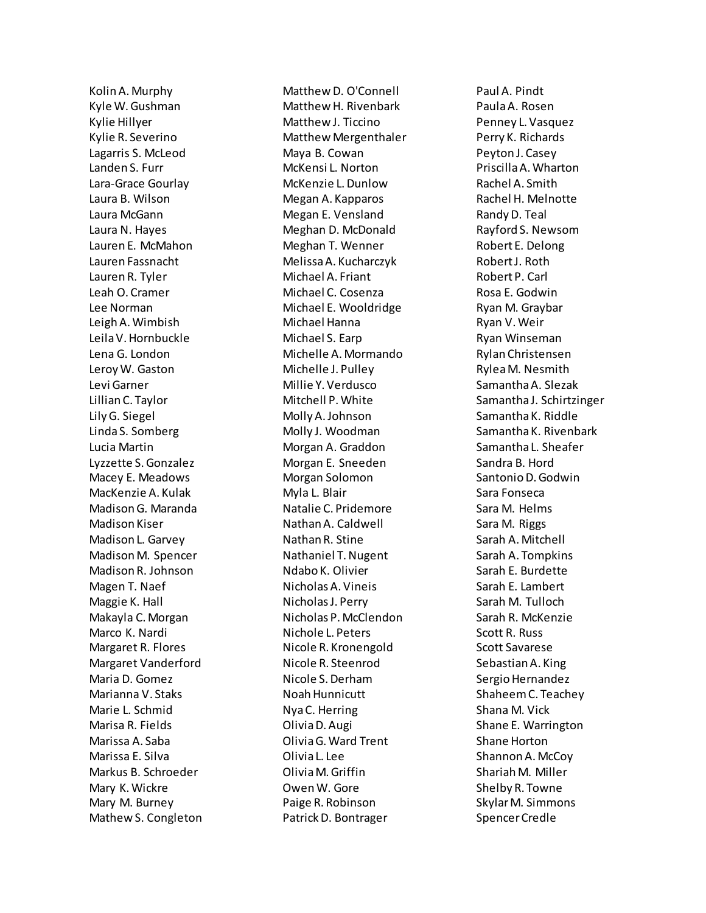Kolin A. Murphy Kyle W. Gushman Kylie Hillyer Kylie R. Severino Lagarris S. McLeod Landen S. Furr Lara-Grace Gourlay Laura B. Wilson Laura McGann Laura N. Hayes Lauren E. McMahon Lauren Fassnacht Lauren R. Tyler Leah O. Cramer Lee Norman Leigh A. Wimbish Leila V. Hornbuckle Lena G. London Leroy W. Gaston Levi Garner Lillian C. Taylor Lily G. Siegel Linda S. Somberg Lucia Martin Lyzzette S. Gonzalez Macey E. Meadows MacKenzie A. Kulak Madison G. Maranda Madison Kiser Madison L. Garvey Madison M. Spencer Madison R. Johnson Magen T. Naef Maggie K. Hall Makayla C. Morgan Marco K. Nardi Margaret R. Flores Margaret Vanderford Maria D. Gomez Marianna V. Staks Marie L. Schmid Marisa R. Fields Marissa A. Saba Marissa E. Silva Markus B. Schroeder Mary K. Wickre Mary M. Burney Mathew S. Congleton Matthew D. O'Connell Matthew H. Rivenbark Matthew J. Ticcino Matthew Mergenthaler Maya B. Cowan McKensi L. Norton McKenzie L. Dunlow Megan A. Kapparos Megan E. Vensland Meghan D. McDonald Meghan T. Wenner Melissa A. Kucharczyk Michael A. Friant Michael C. Cosenza Michael E. Wooldridge Michael Hanna Michael S. Earp Michelle A. Mormando Michelle J. Pulley Millie Y. Verdusco Mitchell P. White Molly A. Johnson Molly J. Woodman Morgan A. Graddon Morgan E. Sneeden Morgan Solomon Myla L. Blair Natalie C. Pridemore Nathan A. Caldwell Nathan R. Stine Nathaniel T. Nugent Ndabo K. Olivier Nicholas A. Vineis Nicholas J. Perry Nicholas P. McClendon Nichole L. Peters Nicole R. Kronengold Nicole R. Steenrod Nicole S. Derham Noah Hunnicutt Nya C. Herring Olivia D. Augi Olivia G. Ward Trent Olivia L. Lee Olivia M. Griffin Owen W. Gore Paige R. Robinson Patrick D. Bontrager

Paul A. Pindt Paula A. Rosen Penney L. Vasquez Perry K. Richards Peyton J. Casey Priscilla A. Wharton Rachel A. Smith Rachel H. Melnotte Randy D. Teal Rayford S. Newsom Robert E. Delong Robert J. Roth Robert P. Carl Rosa E. Godwin Ryan M. Graybar Ryan V. Weir Ryan Winseman Rylan Christensen RyleaM. Nesmith Samantha A. Slezak Samantha J. Schirtzinger Samantha K. Riddle Samantha K. Rivenbark Samantha L. Sheafer Sandra B. Hord Santonio D. Godwin Sara Fonseca Sara M. Helms Sara M. Riggs Sarah A. Mitchell Sarah A. Tompkins Sarah E. Burdette Sarah E. Lambert Sarah M. Tulloch Sarah R. McKenzie Scott R. Russ Scott Savarese Sebastian A. King Sergio Hernandez Shaheem C. Teachey Shana M. Vick Shane E. Warrington Shane Horton Shannon A. McCoy Shariah M. Miller Shelby R. Towne Skylar M. Simmons Spencer Credle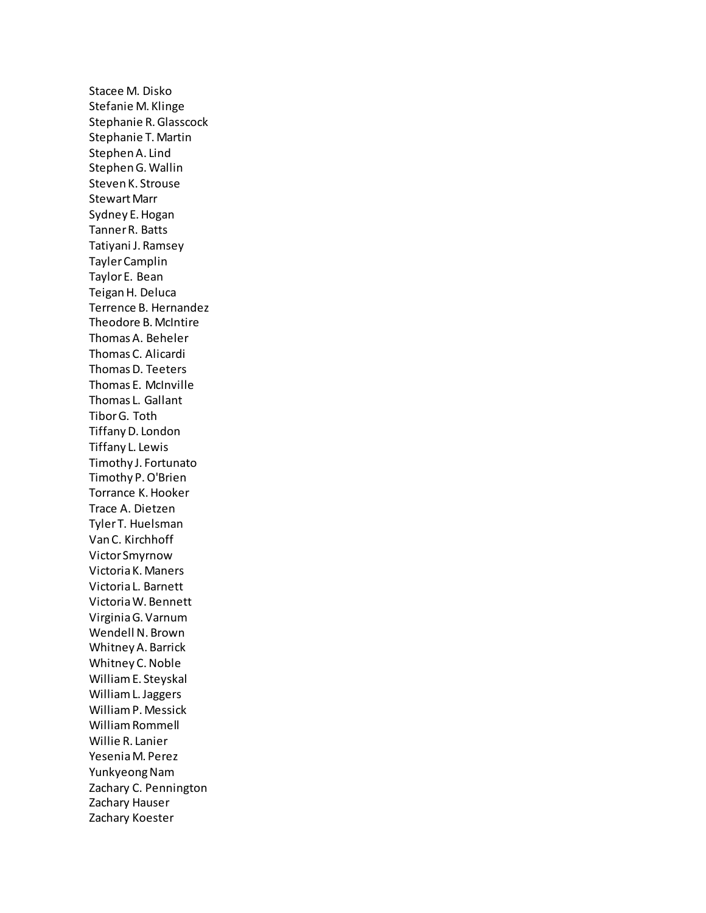Stacee M. Disko Stefanie M. Klinge Stephanie R. Glasscock Stephanie T. Martin Stephen A. Lind Stephen G. Wallin Steven K. Strouse Stewart Marr Sydney E. Hogan Tanner R. Batts Tatiyani J. Ramsey Tayler Camplin Taylor E. Bean Teigan H. Deluca Terrence B. Hernandez Theodore B. McIntire Thomas A. Beheler Thomas C. Alicardi Thomas D. Teeters Thomas E. McInville Thomas L. Gallant Tibor G. Toth Tiffany D. London Tiffany L. Lewis Timothy J. Fortunato Timothy P. O'Brien Torrance K. Hooker Trace A. Dietzen Tyler T. Huelsman Van C. Kirchhoff Victor Smyrnow Victoria K. Maners Victoria L. Barnett Victoria W. Bennett Virginia G. Varnum Wendell N. Brown Whitney A. Barrick Whitney C. Noble William E. Steyskal William L. Jaggers William P. Messick William Rommell Willie R. Lanier Yesenia M. Perez Yunkyeong Nam Zachary C. Pennington Zachary Hauser Zachary Koester